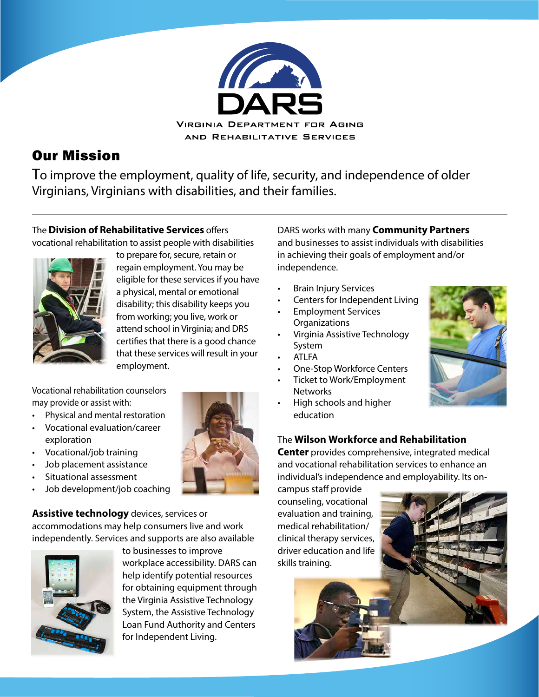

# Our Mission

To improve the employment, quality of life, security, and independence of older Virginians, Virginians with disabilities, and their families.

## The**Division of Rehabilitative Services** offers vocational rehabilitation to assist people with disabilities



to prepare for, secure, retain or regain employment. You may be eligible for these services if you have a physical, mental or emotional disability; this disability keeps you from working; you live, work or attend school in Virginia; and DRS certifies that there is a good chance that these services will result in your employment.

Vocational rehabilitation counselors may provide or assist with:

- Physical and mental restoration
- Vocational evaluation/career exploration
- Vocational/job training
- Job placement assistance
- Situational assessment
- Job development/job coaching

**Assistive technology** devices, services or accommodations may help consumers live and work independently. Services and supports are also available



to businesses to improve workplace accessibility. DARS can help identify potential resources for obtaining equipment through the Virginia Assistive Technology System, the Assistive Technology Loan Fund Authority and Centers for Independent Living.

DARS works with many **Community Partners** and businesses to assist individuals with disabilities in achieving their goals of employment and/or independence.

- Brain Injury Services
- Centers for Independent Living
- Employment Services **Organizations**
- Virginia Assistive Technology System
- ATLFA
- One-Stop Workforce Centers
- Ticket to Work/Employment **Networks**
- High schools and higher education



# The **[Wilson Workforce and Rehabilitation](https://www.wwrc.net/)**

**[Center](https://www.wwrc.net/)** provides comprehensive, integrated medical and vocational rehabilitation services to enhance an individual's independence and employability. Its on-

campus staff provide counseling, vocational evaluation and training, medical rehabilitation/ clinical therapy services, driver education and life skills training.